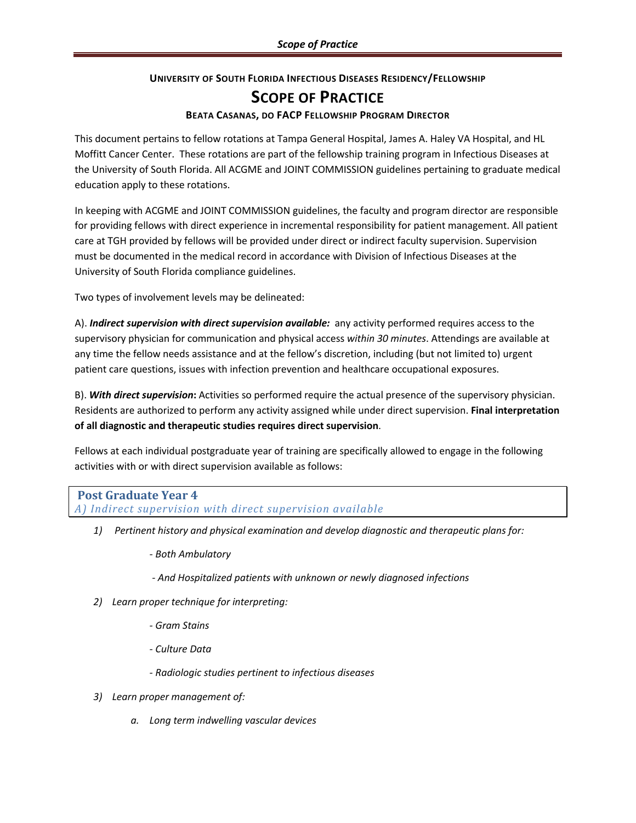## **UNIVERSITY OF SOUTH FLORIDA INFECTIOUS DISEASES RESIDENCY/FELLOWSHIP**

# **SCOPE OF PRACTICE**

### **BEATA CASANAS, DO FACP FELLOWSHIP PROGRAM DIRECTOR**

This document pertains to fellow rotations at Tampa General Hospital, James A. Haley VA Hospital, and HL Moffitt Cancer Center. These rotations are part of the fellowship training program in Infectious Diseases at the University of South Florida. All ACGME and JOINT COMMISSION guidelines pertaining to graduate medical education apply to these rotations.

In keeping with ACGME and JOINT COMMISSION guidelines, the faculty and program director are responsible for providing fellows with direct experience in incremental responsibility for patient management. All patient care at TGH provided by fellows will be provided under direct or indirect faculty supervision. Supervision must be documented in the medical record in accordance with Division of Infectious Diseases at the University of South Florida compliance guidelines.

Two types of involvement levels may be delineated:

A). *Indirect supervision with direct supervision available:* any activity performed requires access to the supervisory physician for communication and physical access *within 30 minutes*. Attendings are available at any time the fellow needs assistance and at the fellow's discretion, including (but not limited to) urgent patient care questions, issues with infection prevention and healthcare occupational exposures.

B). *With direct supervision***:** Activities so performed require the actual presence of the supervisory physician. Residents are authorized to perform any activity assigned while under direct supervision. **Final interpretation of all diagnostic and therapeutic studies requires direct supervision**.

Fellows at each individual postgraduate year of training are specifically allowed to engage in the following activities with or with direct supervision available as follows:

# **Post Graduate Year 4**

*A) Indirect supervision with direct supervision available*

- *1) Pertinent history and physical examination and develop diagnostic and therapeutic plans for:*
	- *- Both Ambulatory*
	- *- And Hospitalized patients with unknown or newly diagnosed infections*
- *2) Learn proper technique for interpreting:*
	- *- Gram Stains*
	- *- Culture Data*
	- *- Radiologic studies pertinent to infectious diseases*
- *3) Learn proper management of:*
	- *a. Long term indwelling vascular devices*